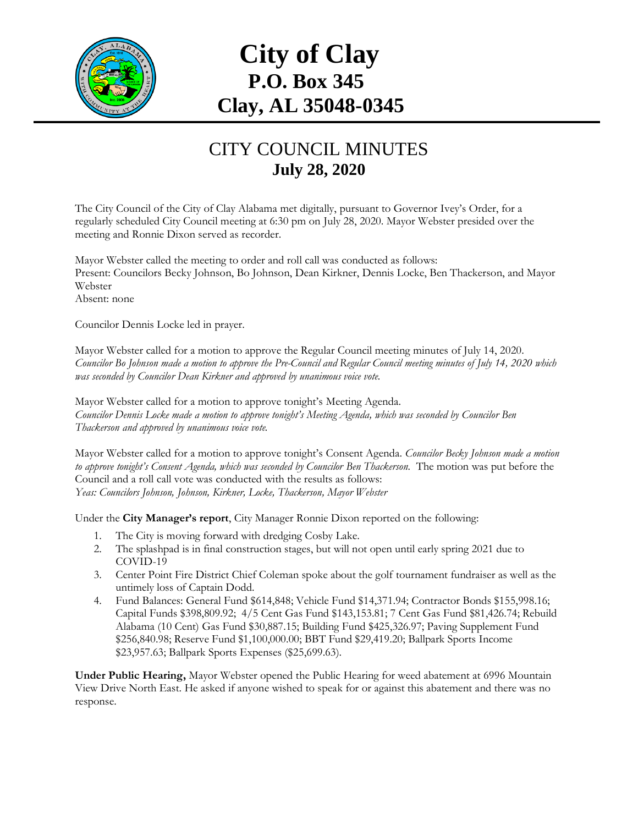

## **City of Clay P.O. Box 345 Clay, AL 35048-0345**

## CITY COUNCIL MINUTES **July 28, 2020**

The City Council of the City of Clay Alabama met digitally, pursuant to Governor Ivey's Order, for a regularly scheduled City Council meeting at 6:30 pm on July 28, 2020. Mayor Webster presided over the meeting and Ronnie Dixon served as recorder.

Mayor Webster called the meeting to order and roll call was conducted as follows: Present: Councilors Becky Johnson, Bo Johnson, Dean Kirkner, Dennis Locke, Ben Thackerson, and Mayor Webster Absent: none

Councilor Dennis Locke led in prayer.

Mayor Webster called for a motion to approve the Regular Council meeting minutes of July 14, 2020. *Councilor Bo Johnson made a motion to approve the Pre-Council and Regular Council meeting minutes of July 14, 2020 which was seconded by Councilor Dean Kirkner and approved by unanimous voice vote.*

Mayor Webster called for a motion to approve tonight's Meeting Agenda. *Councilor Dennis Locke made a motion to approve tonight's Meeting Agenda, which was seconded by Councilor Ben Thackerson and approved by unanimous voice vote.*

Mayor Webster called for a motion to approve tonight's Consent Agenda. *Councilor Becky Johnson made a motion*  to approve tonight's Consent Agenda, which was seconded by Councilor Ben Thackerson. The motion was put before the Council and a roll call vote was conducted with the results as follows: *Yeas: Councilors Johnson, Johnson, Kirkner, Locke, Thackerson, Mayor Webster*

Under the **City Manager's report**, City Manager Ronnie Dixon reported on the following:

- 1. The City is moving forward with dredging Cosby Lake.
- 2. The splashpad is in final construction stages, but will not open until early spring 2021 due to COVID-19
- 3. Center Point Fire District Chief Coleman spoke about the golf tournament fundraiser as well as the untimely loss of Captain Dodd.
- 4. Fund Balances: General Fund \$614,848; Vehicle Fund \$14,371.94; Contractor Bonds \$155,998.16; Capital Funds \$398,809.92; 4/5 Cent Gas Fund \$143,153.81; 7 Cent Gas Fund \$81,426.74; Rebuild Alabama (10 Cent) Gas Fund \$30,887.15; Building Fund \$425,326.97; Paving Supplement Fund \$256,840.98; Reserve Fund \$1,100,000.00; BBT Fund \$29,419.20; Ballpark Sports Income \$23,957.63; Ballpark Sports Expenses (\$25,699.63).

**Under Public Hearing,** Mayor Webster opened the Public Hearing for weed abatement at 6996 Mountain View Drive North East. He asked if anyone wished to speak for or against this abatement and there was no response.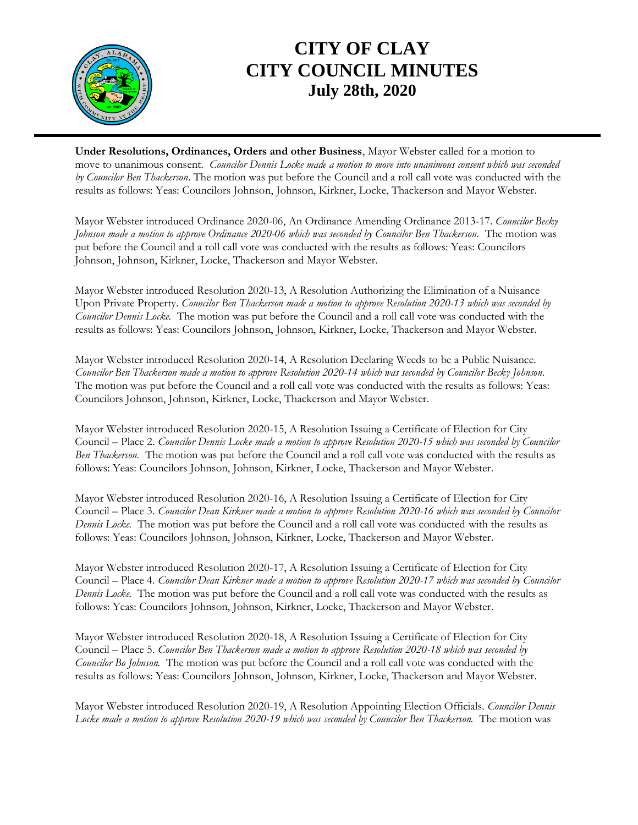

## **CITY OF CLAY CITY COUNCIL MINUTES July 28th, 2020**

**Under Resolutions, Ordinances, Orders and other Business**, Mayor Webster called for a motion to move to unanimous consent. *Councilor Dennis Locke made a motion to move into unanimous consent which was seconded by Councilor Ben Thackerson*. The motion was put before the Council and a roll call vote was conducted with the results as follows: Yeas: Councilors Johnson, Johnson, Kirkner, Locke, Thackerson and Mayor Webster.

Mayor Webster introduced Ordinance 2020-06, An Ordinance Amending Ordinance 2013-17. *Councilor Becky Johnson made a motion to approve Ordinance 2020-06 which was seconded by Councilor Ben Thackerson.* The motion was put before the Council and a roll call vote was conducted with the results as follows: Yeas: Councilors Johnson, Johnson, Kirkner, Locke, Thackerson and Mayor Webster.

Mayor Webster introduced Resolution 2020-13, A Resolution Authorizing the Elimination of a Nuisance Upon Private Property. *Councilor Ben Thackerson made a motion to approve Resolution 2020-13 which was seconded by Councilor Dennis Locke.* The motion was put before the Council and a roll call vote was conducted with the results as follows: Yeas: Councilors Johnson, Johnson, Kirkner, Locke, Thackerson and Mayor Webster.

Mayor Webster introduced Resolution 2020-14, A Resolution Declaring Weeds to be a Public Nuisance. *Councilor Ben Thackerson made a motion to approve Resolution 2020-14 which was seconded by Councilor Becky Johnson.*  The motion was put before the Council and a roll call vote was conducted with the results as follows: Yeas: Councilors Johnson, Johnson, Kirkner, Locke, Thackerson and Mayor Webster.

Mayor Webster introduced Resolution 2020-15, A Resolution Issuing a Certificate of Election for City Council – Place 2. *Councilor Dennis Locke made a motion to approve Resolution 2020-15 which was seconded by Councilor Ben Thackerson.* The motion was put before the Council and a roll call vote was conducted with the results as follows: Yeas: Councilors Johnson, Johnson, Kirkner, Locke, Thackerson and Mayor Webster.

Mayor Webster introduced Resolution 2020-16, A Resolution Issuing a Certificate of Election for City Council – Place 3. *Councilor Dean Kirkner made a motion to approve Resolution 2020-16 which was seconded by Councilor Dennis Locke.* The motion was put before the Council and a roll call vote was conducted with the results as follows: Yeas: Councilors Johnson, Johnson, Kirkner, Locke, Thackerson and Mayor Webster.

Mayor Webster introduced Resolution 2020-17, A Resolution Issuing a Certificate of Election for City Council – Place 4. *Councilor Dean Kirkner made a motion to approve Resolution 2020-17 which was seconded by Councilor Dennis Locke.* The motion was put before the Council and a roll call vote was conducted with the results as follows: Yeas: Councilors Johnson, Johnson, Kirkner, Locke, Thackerson and Mayor Webster.

Mayor Webster introduced Resolution 2020-18, A Resolution Issuing a Certificate of Election for City Council – Place 5. *Councilor Ben Thackerson made a motion to approve Resolution 2020-18 which was seconded by Councilor Bo Johnson.* The motion was put before the Council and a roll call vote was conducted with the results as follows: Yeas: Councilors Johnson, Johnson, Kirkner, Locke, Thackerson and Mayor Webster.

Mayor Webster introduced Resolution 2020-19, A Resolution Appointing Election Officials. *Councilor Dennis Locke made a motion to approve Resolution 2020-19 which was seconded by Councilor Ben Thackerson.* The motion was